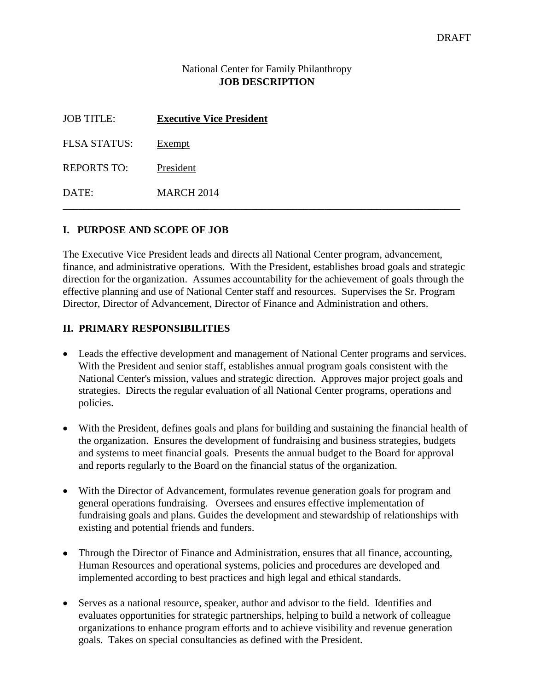### National Center for Family Philanthropy **JOB DESCRIPTION**

| <b>JOB TITLE:</b>  | <b>Executive Vice President</b> |
|--------------------|---------------------------------|
| FLSA STATUS:       | Exempt                          |
| <b>REPORTS TO:</b> | President                       |
| DATE:              | <b>MARCH 2014</b>               |

## **I. PURPOSE AND SCOPE OF JOB**

The Executive Vice President leads and directs all National Center program, advancement, finance, and administrative operations. With the President, establishes broad goals and strategic direction for the organization. Assumes accountability for the achievement of goals through the effective planning and use of National Center staff and resources. Supervises the Sr. Program Director, Director of Advancement, Director of Finance and Administration and others.

## **II. PRIMARY RESPONSIBILITIES**

- Leads the effective development and management of National Center programs and services. With the President and senior staff, establishes annual program goals consistent with the National Center's mission, values and strategic direction. Approves major project goals and strategies. Directs the regular evaluation of all National Center programs, operations and policies.
- With the President, defines goals and plans for building and sustaining the financial health of the organization. Ensures the development of fundraising and business strategies, budgets and systems to meet financial goals. Presents the annual budget to the Board for approval and reports regularly to the Board on the financial status of the organization.
- With the Director of Advancement, formulates revenue generation goals for program and general operations fundraising. Oversees and ensures effective implementation of fundraising goals and plans. Guides the development and stewardship of relationships with existing and potential friends and funders.
- Through the Director of Finance and Administration, ensures that all finance, accounting, Human Resources and operational systems, policies and procedures are developed and implemented according to best practices and high legal and ethical standards.
- Serves as a national resource, speaker, author and advisor to the field. Identifies and evaluates opportunities for strategic partnerships, helping to build a network of colleague organizations to enhance program efforts and to achieve visibility and revenue generation goals. Takes on special consultancies as defined with the President.